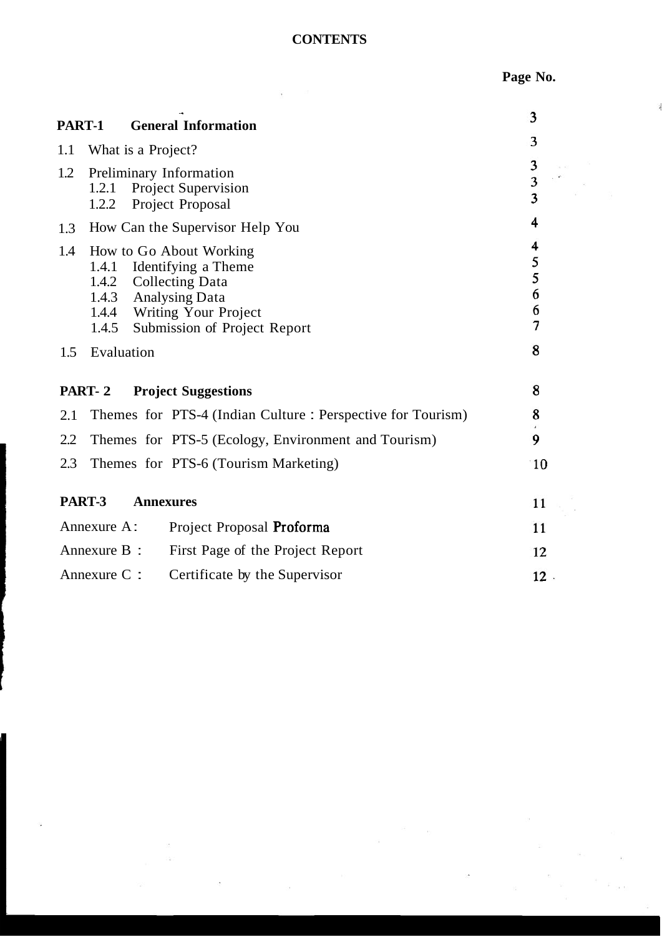### **CONTENTS**

 $\epsilon_{\rm{max}}=0.5$ 

**Page No.** 

 $\lambda$ 

| PART-1       |                                           | <b>General Information</b>                                                                                                                                            | 3                                 |        |
|--------------|-------------------------------------------|-----------------------------------------------------------------------------------------------------------------------------------------------------------------------|-----------------------------------|--------|
| 1.1          | What is a Project?                        |                                                                                                                                                                       | 3                                 |        |
| 1.2          | Preliminary Information<br>1.2.1<br>1.2.2 | $\frac{3}{3}$<br>3                                                                                                                                                    |                                   |        |
| 1.3          |                                           | How Can the Supervisor Help You                                                                                                                                       | 4                                 |        |
| 1.4          | 1.4.2<br>1.4.3<br>1.4.5                   | How to Go About Working<br>1.4.1 Identifying a Theme<br><b>Collecting Data</b><br><b>Analysing Data</b><br>1.4.4 Writing Your Project<br>Submission of Project Report | 4<br>5<br>$\frac{5}{6}$<br>6<br>7 |        |
| 1.5          | Evaluation                                |                                                                                                                                                                       | 8                                 |        |
|              | PART-2                                    | <b>Project Suggestions</b>                                                                                                                                            | 8                                 |        |
| 2.1          |                                           | Themes for PTS-4 (Indian Culture: Perspective for Tourism)                                                                                                            | 8                                 |        |
| 2.2          |                                           | Themes for PTS-5 (Ecology, Environment and Tourism)                                                                                                                   | 9                                 |        |
| 2.3          |                                           | Themes for PTS-6 (Tourism Marketing)                                                                                                                                  |                                   | 10     |
|              | PART-3                                    | <b>Annexures</b>                                                                                                                                                      |                                   | 11     |
|              | Annexure A:                               | Project Proposal Proforma                                                                                                                                             |                                   | 11     |
| Annexure B : |                                           | First Page of the Project Report                                                                                                                                      |                                   | 12     |
| Annexure C : |                                           | Certificate by the Supervisor                                                                                                                                         |                                   | $12$ . |

 $\frac{1}{2}$ 

YS.

 $\tilde{\phi}$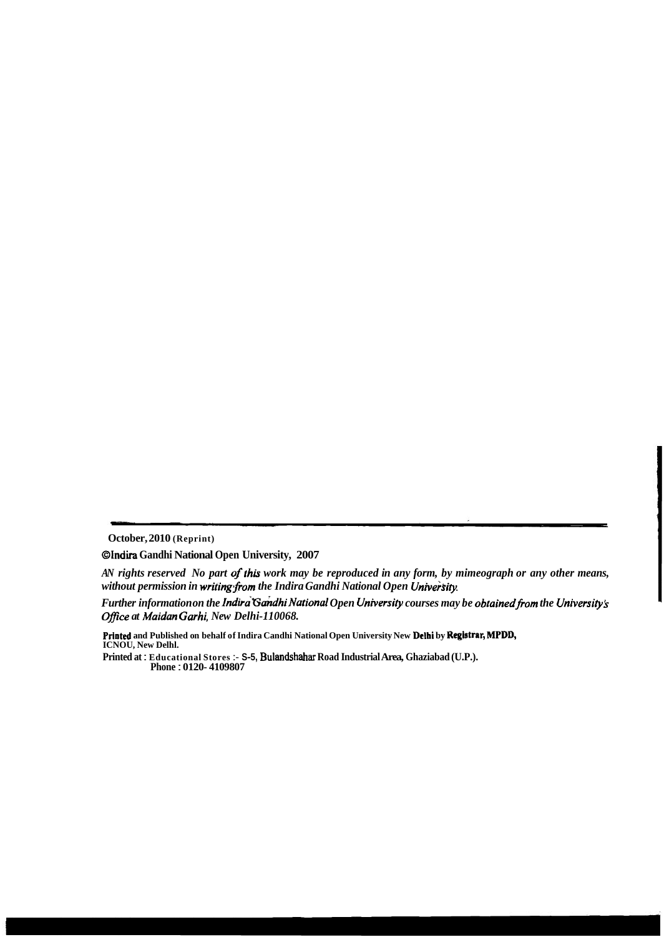**October, 2010 (Reprint)** 

**Olndira Gandhi National Open University, 2007** 

*AN rights reserved No part of this work may be reproduced in any form, by mimeograph or any other means,* without permission in writing from the Indira Gandhi National Open University.

*Further information on the Indira Gandhi National Open University courses may be obtained from the University's Ofice at Maidan Garhi, New Delhi-110068.* 

**Printed and Published on behalf of Indira Candhi National Open University New Delhi by Registrar, MPDD, ICNOU, New Delhl.** 

**Printed at** : **Educational Stores** :- **S-5, Bulandshahar Road Industrial Area, Ghaziabad (U.P.). Phone** : **0120- 4109807**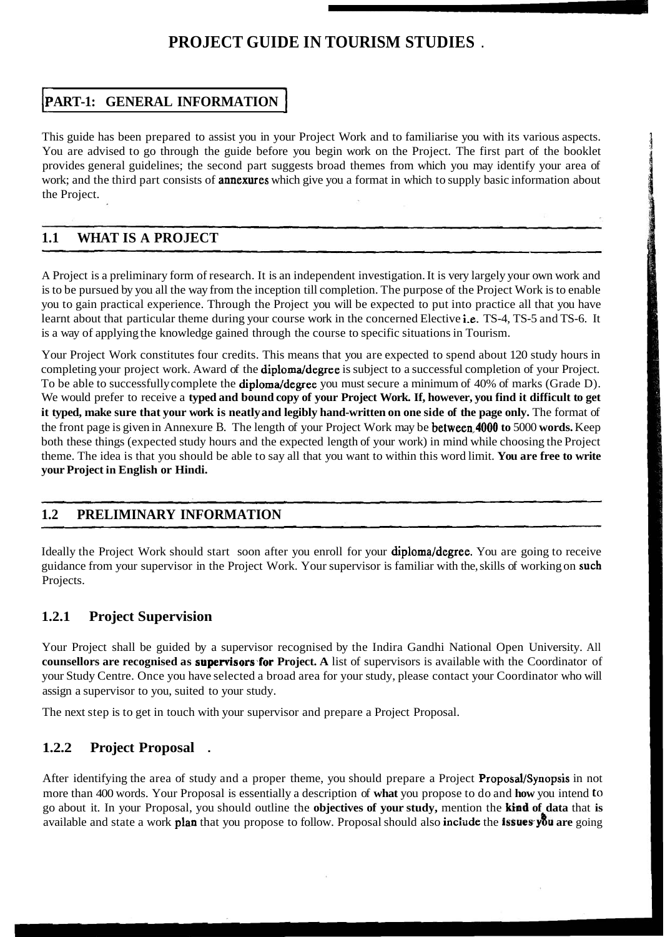# **PROJECT GUIDE IN TOURISM STUDIES** .

## **PART-1: GENERAL INFORMATION**

This guide has been prepared to assist you in your Project Work and to familiarise you with its various aspects. You are advised to go through the guide before you begin work on the Project. The first part of the booklet provides general guidelines; the second part suggests broad themes from which you may identify your area of work; and the third part consists of **annexures** which give you a format in which to supply basic information about the Project.

### **1.1 WHAT IS A PROJECT**

A Project is a preliminary form of research. It is an independent investigation. It is very largely your own work and is to be pursued by you all the way from the inception till completion. The purpose of the Project Work is to enable you to gain practical experience. Through the Project you will be expected to put into practice all that you have learnt about that particular theme during your course work in the concerned Elective i.e. TS-4, TS-5 and TS-6. It is a way of applying the knowledge gained through the course to specific situations in Tourism.

Your Project Work constitutes four credits. This means that you are expected to spend about 120 study hours in completing your project work. Award of the **diploma/degree** is subject to a successful completion of your Project. To be able to successfully complete the **diploma/degree** you must secure a minimum of 40% of marks (Grade D). We would prefer to receive a **typed and bound copy of your Project Work. If, however, you find it difficult to get it typed, make sure that your work is neatly and legibly hand-written on one side of the page only.** The format of the front page is given in Annexure B. The length of your Project Work may be between,4000 **to** 5000 **words.** Keep both these things (expected study hours and the expected length of your work) in mind while choosing the Project theme. The idea is that you should be able to say all that you want to within this word limit. **You are free to write your Project in English or Hindi.** 

### **1.2 PRELIMINARY INFORMATION**

Ideally the Project Work should start soon after you enroll for your **diploma/degree**. You are going to receive guidance from your supervisor in the Project Work. Your supervisor is familiar with the, skills of working on such Projects.

### **1.2.1 Project Supervision**

Your Project shall be guided by a supervisor recognised by the Indira Gandhi National Open University. All **counsellors are recognised as supervisors for Project. A** list of supervisors is available with the Coordinator of your Study Centre. Once you have selected a broad area for your study, please contact your Coordinator who will assign a supervisor to you, suited to your study.

The next step is to get in touch with your supervisor and prepare a Project Proposal.

### **1.2.2 Project Proposal** .

After identifying the area of study and a proper theme, you should prepare a Project Proposal/Synopsis in not more than 400 words. Your Proposal is essentially a description of **what** you propose to do and **how** you intend to go about it. In your Proposal, you should outline the **objectives of your study,** mention the **kind of data** that **is**  available and state a work plan that you propose to follow. Proposal should also inciide the **issues-y8u are** going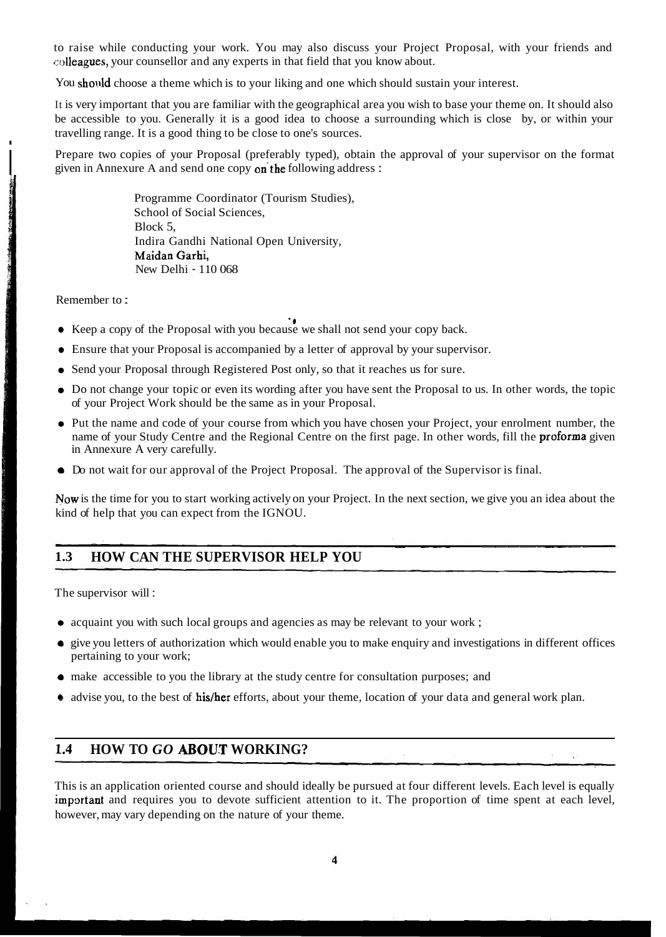to raise while conducting your work. You may also discuss your Project Proposal, with your friends and colleagues, your counsellor and any experts in that field that you know about.

You should choose a theme which is to your liking and one which should sustain your interest.

It is very important that you are familiar with the geographical area you wish to base your theme on. It should also be accessible to you. Generally it is a good idea to choose a surrounding which is close by, or within your travelling range. It is a good thing to be close to one's sources.

Prepare two copies of your Proposal (preferably typed), obtain the approval of your supervisor on the format given in Annexure A and send one copy on the following address :

> Programme Coordinator (Tourism Studies), School of Social Sciences, Block 5, Indira Gandhi National Open University, Maidan Garhi, New Delhi - 110 068

Remember to :

Social Armental Ville

- Keep a copy of the Proposal with you because we shall not send your copy back.
- Ensure that your Proposal is accompanied by a letter of approval by your supervisor.
- Send your Proposal through Registered Post only, so that it reaches us for sure.
- Do not change your topic or even its wording after you have sent the Proposal to us. In other words, the topic of your Project Work should be the same as in your Proposal.
- Put the name and code of your course from which you have chosen your Project, your enrolment number, the name of your Study Centre and the Regional Centre on the first page. In other words, fill the proforma given in Annexure A very carefully.
- **0** Do not wait for our approval of the Project Proposal. The approval of the Supervisor is final.

Now is the time for you to start working actively on your Project. In the next section, we give you an idea about the kind of help that you can expect from the IGNOU. - --- - -

# **1.3 HOW CAN THE SUPERVISOR HELP YOU**

The supervisor will :

- acquaint you with such local groups and agencies as may be relevant to your work;
- **0** give you letters of authorization which would enable you to make enquiry and investigations in different offices pertaining to your work;
- make accessible to you the library at the study centre for consultation purposes; and
- advise you, to the best of his/her efforts, about your theme, location of your data and general work plan.

# 1.4 **HOW TO GO ABOUT WORKING?**

This is an application oriented course and should ideally be pursued at four different levels. Each level is equally important and requires you to devote sufficient attention to it. The proportion of time spent at each level, however, may vary depending on the nature of your theme.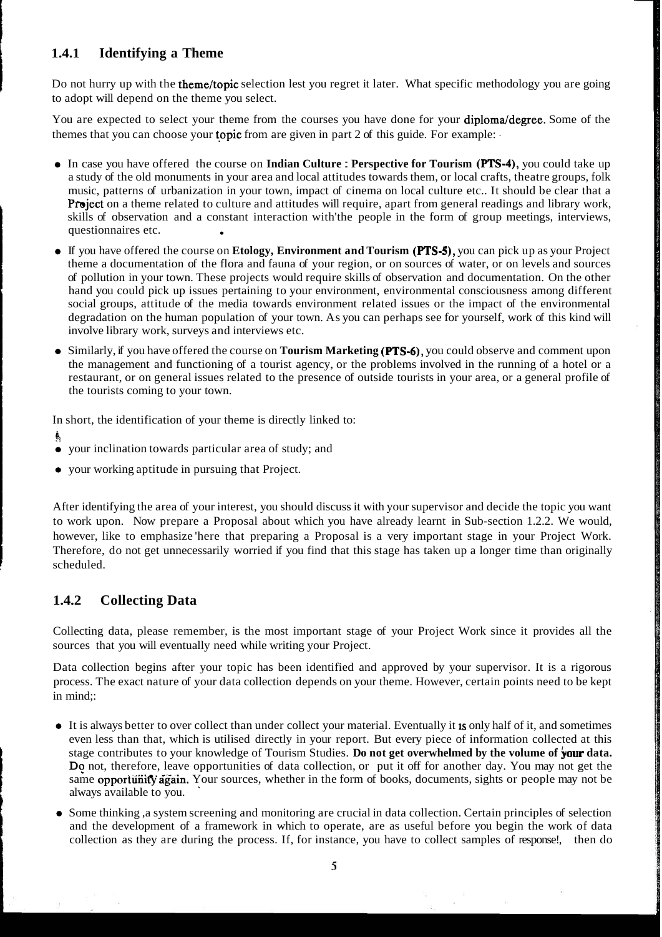#### **1.4.1 Identifying a Theme**

Do not hurry up with the theme/topic selection lest you regret it later. What specific methodology you are going to adopt will depend on the theme you select.

You are expected to select your theme from the courses you have done for your diploma/degree. Some of the themes that you can choose your **topic** from are given in part 2 of this guide. For example:

- $\bullet$  In case you have offered the course on Indian Culture : Perspective for Tourism (PTS-4), you could take up a study of the old monuments in your area and local attitudes towards them, or local crafts, theatre groups, folk music, patterns of urbanization in your town, impact of cinema on local culture etc.. It should be clear that a Project on a theme related to culture and attitudes will require, apart from general readings and library work, skills of observation and a constant interaction with'the people in the form of group meetings, interviews, questionnaires etc.
- If you have offered the course on **Etology, Environment and Tourism (PTS-5)**, you can pick up as your Project theme a documentation of the flora and fauna of your region, or on sources of water, or on levels and sources of pollution in your town. These projects would require skills of observation and documentation. On the other hand you could pick up issues pertaining to your environment, environmental consciousness among different social groups, attitude of the media towards environment related issues or the impact of the environmental degradation on the human population of your town. As you can perhaps see for yourself, work of this kind will involve library work, surveys and interviews etc.
- Similarly, if you have offered the course on **Tourism Marketing (PTS-6)**, you could observe and comment upon the management and functioning of a tourist agency, or the problems involved in the running of a hotel or a restaurant, or on general issues related to the presence of outside tourists in your area, or a general profile of the tourists coming to your town.

In short, the identification of your theme is directly linked to:

- **b**
- your inclination towards particular area of study; and
- your working aptitude in pursuing that Project.

After identifying the area of your interest, you should discuss it with your supervisor and decide the topic you want to work upon. Now prepare a Proposal about which you have already learnt in Sub-section 1.2.2. We would, however, like to emphasize here that preparing a Proposal is a very important stage in your Project Work. Therefore, do not get unnecessarily worried if you find that this stage has taken up a longer time than originally scheduled.

### **1.4.2 Collecting Data**

Collecting data, please remember, is the most important stage of your Project Work since it provides all the sources that you will eventually need while writing your Project.

Data collection begins after your topic has been identified and approved by your supervisor. It is a rigorous process. The exact nature of your data collection depends on your theme. However, certain points need to be kept in mind;:

- It is always better to over collect than under collect your material. Eventually it 1s only half of it, and sometimes even less than that, which is utilised directly in your report. But every piece of information collected at this stage contributes to your knowledge of Tourism Studies. **Do not get overwhelmed by the volume of your data.** Do not, therefore, leave opportunities of data collection, or put it off for another day. You may not get the same opportunity again. Your sources, whether in the form of books, documents, sights or people may not be always available to you. '
- Some thinking ,a system screening and monitoring are crucial in data collection. Certain principles of selection and the development of a framework in which to operate, are as useful before you begin the work of data collection as they are during the process. If, for instance, you have to collect samples of response!, then do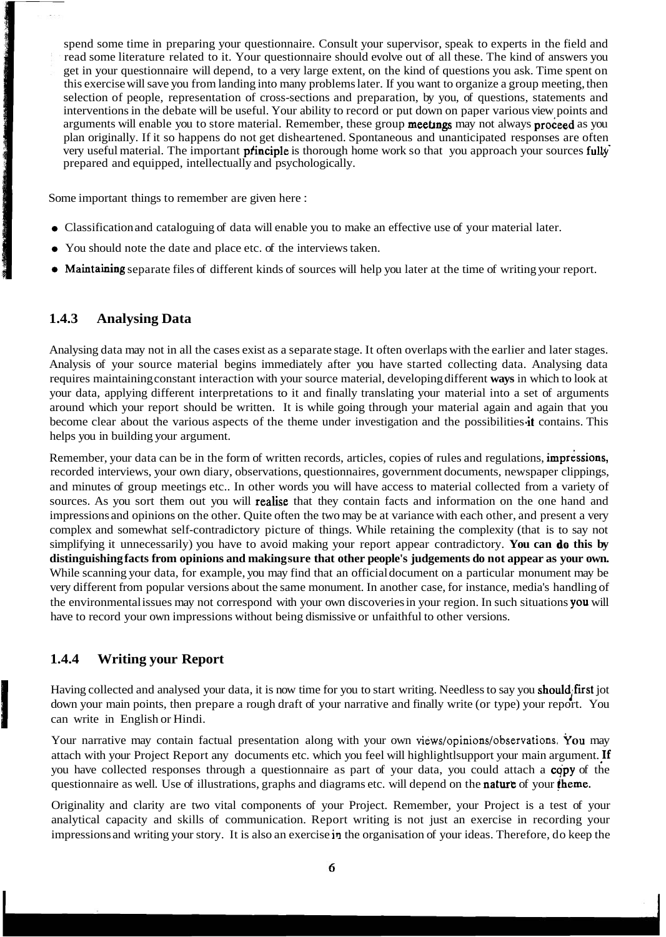spend some time in preparing your questionnaire. Consult your supervisor, speak to experts in the field and read some literature related to it. Your questionnaire should evolve out of all these. The kind of answers you get in your questionnaire will depend, to a very large extent, on the kind of questions you ask. Time spent on this exercise will save you from landing into many problems later. If you want to organize a group meeting, then selection of people, representation of cross-sections and preparation, by you, of questions, statements and interventions in the debate will be useful. Your ability to record or put down on paper various view points and arguments will enable you to store material. Remember, these group **meetings** may not always **proceed** as you plan originally. If it so happens do not get disheartened. Spontaneous and unanticipated responses are often very useful material. The important **principle** is thorough home work so that you approach your sources fully prepared and equipped, intellectually and psychologically. **3**<br> **3**Spend some time in preparing your questionnaire. Consult your supervisor, speak to experts in the<br>
read some literature related to it. Your questionnaire should evolve out of all these. The kind of ans<br>
get in your

Some important things to remember are given here :

- 
- **1** You should note the date and place etc. of the interviews taken.
- Maintaining separate files of different kinds of sources will help you later at the time of writing your report.

#### **1.4.3 Analysing Data**

Analysing data may not in all the cases exist as a separate stage. It often overlaps with the earlier and later stages. Analysis of your source material begins immediately after you have started collecting data. Analysing data requires maintaining constant interaction with your source material, developing different **ways** in which to look at your data, applying different interpretations to it and finally translating your material into a set of arguments around which your report should be written. It is while going through your material again and again that you become clear about the various aspects of the theme under investigation and the possibilities it contains. This helps you in building your argument.

Remember, your data can be in the form of written records, articles, copies of rules and regulations, impressions, recorded interviews, your own diary, observations, questionnaires, government documents, newspaper clippings, and minutes of group meetings etc.. In other words you will have access to material collected from a variety of sources. As you sort them out you will **realise** that they contain facts and information on the one hand and impressions and opinions on the other. Quite often the two may be at variance with each other, and present a very complex and somewhat self-contradictory picture of things. While retaining the complexity (that is to say not simplifying it unnecessarily) you have to avoid making your report appear contradictory. **You can do this by distinguishing facts from opinions and making sure that other people's judgements do not appear as your own.**  While scanning your data, for example, you may find that an official document on a particular monument may be very different from popular versions about the same monument. In another case, for instance, media's handling of the environmental issues may not correspond with your own discoveries in your region. In such situations you will have to record your own impressions without being dismissive or unfaithful to other versions.

#### **1.4.4 Writing your Report**

Having collected and analysed your data, it is now time for you to start writing. Needless to say you **should** first jot down your main points, then prepare a rough draft of your narrative and finally write (or type) your can write in English or Hindi.

Your narrative may contain factual presentation along with your own views/opinions/observations. You may attach with your Project Report any documents etc. which you feel will highlightlsupport your main argument. !f you have collected responses through a questionnaire as part of your data, you could attach a copy of the questionnaire as well. Use of illustrations, graphs and diagrams etc. will depend on the **nature** of your **theme.** 

Originality and clarity are two vital components of your Project. Remember, your Project is a test of your analytical capacity and skills of communication. Report writing is not just an exercise in recording your impressions and writing your story. It is also an exercise **ir.** the organisation of your ideas. Therefore, do keep the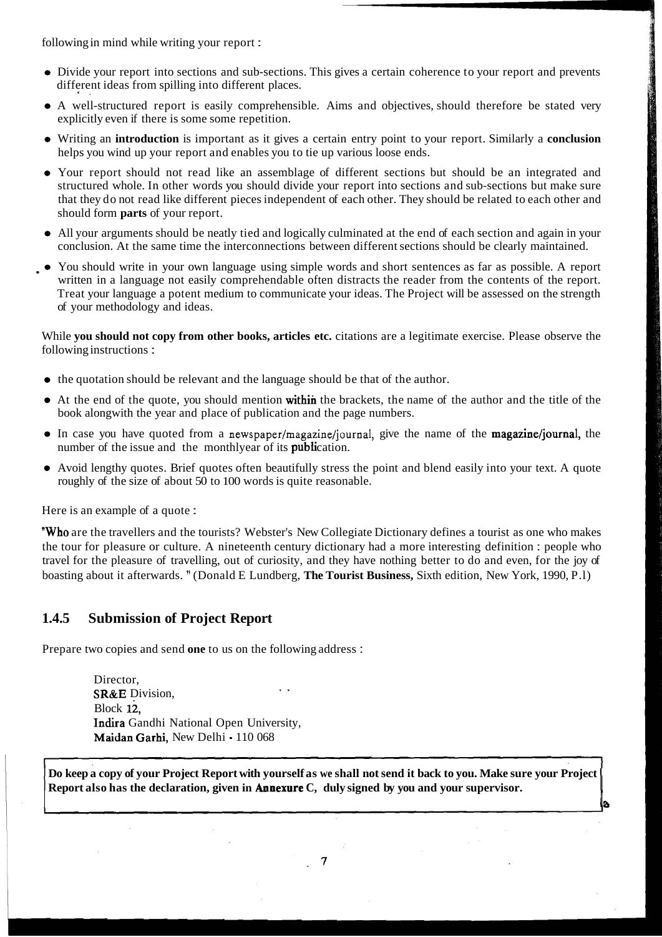following in mind while writing your report :

%.

- Divide your report into sections and sub-sections. This gives a certain coherence to your report and prevents different ideas from spilling into different places.
- A well-structured report is easily comprehensible. Aims and objectives, should therefore be stated very explicitly even if there is some some repetition.
- Writing an **introduction** is important as it gives a certain entry point to your report. Similarly a **conclusion**  helps you wind up your report and enables you to tie up various loose ends.
- Your report should not read like an assemblage of different sections but should be an integrated and structured whole. In other words you should divide your report into sections and sub-sections but make sure that they do not read like different pieces independent of each other. They should be related to each other and should form **parts** of your report.
- All your arguments should be neatly tied and logically culminated at the end of each section and again in your conclusion. At the same time the interconnections between different sections should be clearly maintained.
- You should write in your own language using simple words and short sentences as far as possible. A report written in a language not easily comprehendable often distracts the reader from the contents of the report. Treat your language a potent medium to communicate your ideas. The Project will be assessed on the strength of your methodology and ideas.

While **you should not copy from other books, articles etc.** citations are a legitimate exercise. Please observe the following instructions :

- the quotation should be relevant and the language should be that of the author.
- At the end of the quote, you should mention within the brackets, the name of the author and the title of the book alongwith the year and place of publication and the page numbers.
- $\bullet$  In case you have quoted from a newspaper/magazine/journal, give the name of the magazine/journal, the number of the issue and the monthlyear of its **publication**.
- Avoid lengthy quotes. Brief quotes often beautifully stress the point and blend easily into your text. A quote roughly of the size of about 50 to 100 words is quite reasonable.

Here is an example of a quote :

'Who are the travellers and the tourists? Webster's New Collegiate Dictionary defines a tourist as one who makes the tour for pleasure or culture. A nineteenth century dictionary had a more interesting definition : people who travel for the pleasure of travelling, out of curiosity, and they have nothing better to do and even, for the joy of boasting about it afterwards. " (Donald E Lundberg, **The Tourist Business,** Sixth edition, New York, 1990, P.l)

#### **1.4.5 Submission of Project Report**

Prepare two copies and send **one** to us on the following address :

Director,<br>**SR&E** Division, Block 12, Indira Gandhi National Open University, Maidan Garhi, New Delhi - 110 068

**Do keep a copy of your Project Report with yourself as we shall not send it back to you. Make sure your Project Report also has the declaration, given in Annexure C, duly signed by you and your supervisor.** 

**B** 

 $\overline{7}$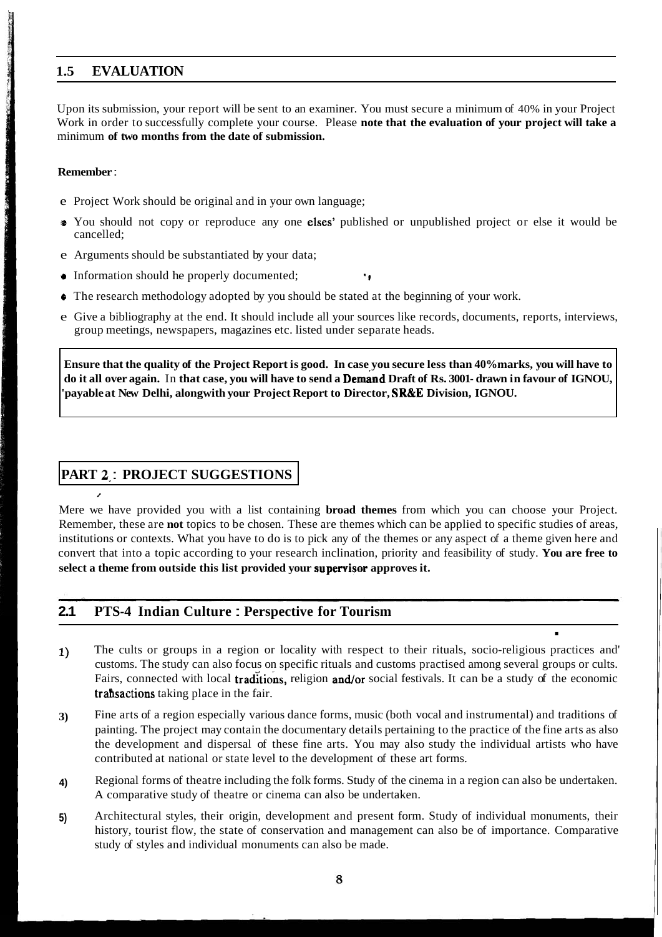# **1.5 EVALUATION**

Upon its submission, your report will be sent to an examiner. You must secure a minimum of 40% in your Project Work in order to successfully complete your course. Please **note that the evaluation of your project will take a**  minimum **of two months from the date of submission.** 

### **Remember** :

**BETHE STATE SHARE** 

Maria School of Management of Contract

/

- e Project Work should be original and in your own language;
- **s** You should not copy or reproduce any one elses' published or unpublished project or else it would be cancelled;
- e Arguments should be substantiated by your data;
- **e** Information should he properly documented; **up**
- **0** The research methodology adopted by you should be stated at the beginning of your work.
- e Give a bibliography at the end. It should include all your sources like records, documents, reports, interviews, group meetings, newspapers, magazines etc. listed under separate heads.

**Ensure that the quality of the Project Report is good. In case you secure less than 40% marks, you will have to**  do it all over again. In that case, you will have to send a **Demand** Draft of Rs. 3001- drawn in favour of IGNOU, **'payable at New Delhi, alongwith your Project Report to Director, SR&E Division, IGNOU.** 

# **PART 2-** : **PROJECT SUGGESTIONS**

Mere we have provided you with a list containing **broad themes** from which you can choose your Project. Remember, these are **not** topics to be chosen. These are themes which can be applied to specific studies of areas, institutions or contexts. What you have to do is to pick any of the themes or any aspect of a theme given here and convert that into a topic according to your research inclination, priority and feasibility of study. **You are free to**  select a theme from outside this list provided your supervisor approves it.

## **2.1 PTS-4 Indian Culture** : **Perspective for Tourism**

- . **1)** The cults or groups in a region or locality with respect to their rituals, socio-religious practices and' customs. The study can also focus on specific rituals and customs practised among several groups or cults. Fairs, connected with local traditions, religion and/or social festivals. It can be a study of the economic trahsactions taking place in the fair.
- **3)** Fine arts of a region especially various dance forms, music (both vocal and instrumental) and traditions of painting. The project may contain the documentary details pertaining to the practice of the fine arts as also the development and dispersal of these fine arts. You may also study the individual artists who have contributed at national or state level to the development of these art forms.
- **4)** Regional forms of theatre including the folk forms. Study of the cinema in a region can also be undertaken. A comparative study of theatre or cinema can also be undertaken.
- **5)** Architectural styles, their origin, development and present form. Study of individual monuments, their history, tourist flow, the state of conservation and management can also be of importance. Comparative study of styles and individual monuments can also be made.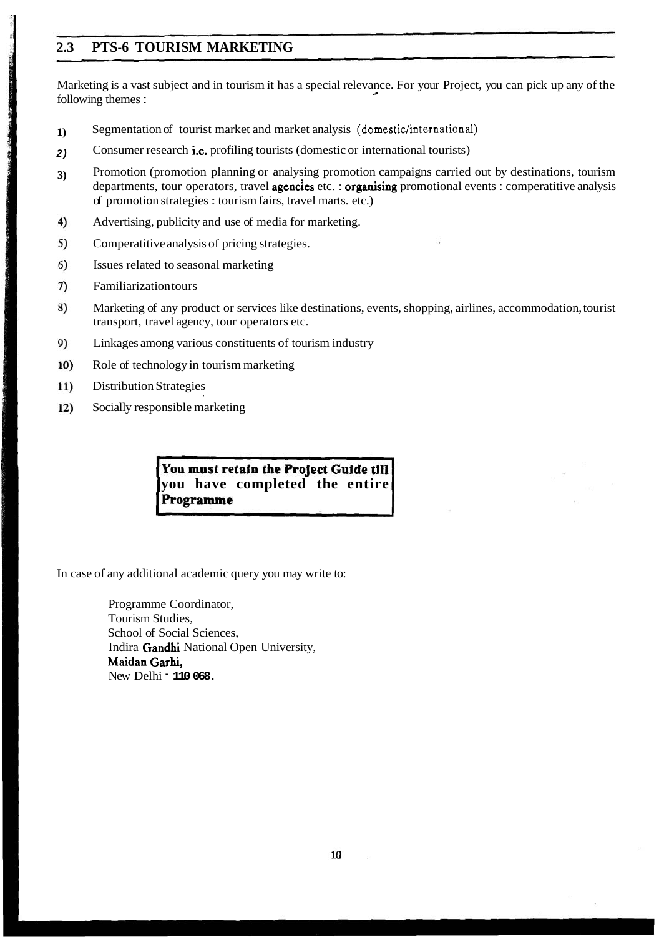# **2.3 PTS-6 TOURISM MARKETING**

Marketing is a vast subject and in tourism it has a special relevance. For your Project, you can pick up any of the following themes :

- **1)** Segmentation of tourist market and market analysis **(domestic/international)**
- **2)** Consumer research i.e. profiling tourists (domestic or international tourists)
- **3)** Promotion (promotion planning or analysing promotion campaigns carried out by destinations, tourism departments, tour operators, travel **agencies** etc. : **organising** promotional events : comperatitive analysis of promotion strategies : tourism fairs, travel marts. etc.)
- $4)$ Advertising, publicity and use of media for marketing.
- 5) Comperatitive analysis of pricing strategies.
- 6) Issues related to seasonal marketing
- 7) Familiarization tours

SEAGURERS, LIGHTERMAN WORK ENGINEERING

- 8) Marketing of any product or services like destinations, events, shopping, airlines, accommodation, tourist transport, travel agency, tour operators etc.
- 9) Linkages among various constituents of tourism industry
- Role of technology in tourism marketing  $10)$
- Distribution Strategies 11)
- 12) Socially responsible marketing

You must retain the Project Guide till **you have completed the entire** 

In case of any additional academic query you may write to:

Programme Coordinator, Tourism Studies, School of Social Sciences, Indira Gandhi National Open University, Maidan Garhi, New Delhi - **110 068.**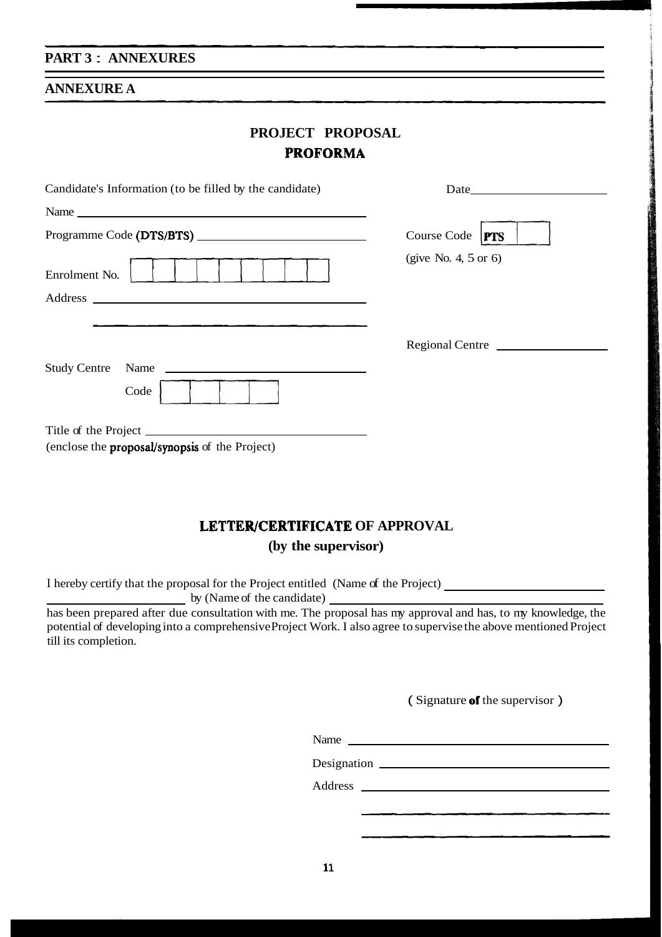#### **PART 3** : **ANNEXURES**

#### **ANNEXURE A**

|                 | <b>PROJECT PROPOSAL</b> |  |  |  |  |  |
|-----------------|-------------------------|--|--|--|--|--|
| <b>PROFORMA</b> |                         |  |  |  |  |  |

| Candidate's Information (to be filled by the candidate)                                                                                                                                                                                                                                                                                                                                                                              |                      |  |  |  |
|--------------------------------------------------------------------------------------------------------------------------------------------------------------------------------------------------------------------------------------------------------------------------------------------------------------------------------------------------------------------------------------------------------------------------------------|----------------------|--|--|--|
|                                                                                                                                                                                                                                                                                                                                                                                                                                      |                      |  |  |  |
|                                                                                                                                                                                                                                                                                                                                                                                                                                      | Course Code $ PTS $  |  |  |  |
| Enrolment No.                                                                                                                                                                                                                                                                                                                                                                                                                        | (give No. 4, 5 or 6) |  |  |  |
|                                                                                                                                                                                                                                                                                                                                                                                                                                      |                      |  |  |  |
|                                                                                                                                                                                                                                                                                                                                                                                                                                      |                      |  |  |  |
|                                                                                                                                                                                                                                                                                                                                                                                                                                      | Regional Centre      |  |  |  |
| <b>Study Centre</b><br>Name $\frac{1}{\sqrt{1-\frac{1}{2}}\sqrt{1-\frac{1}{2}}\sqrt{1-\frac{1}{2}}\sqrt{1-\frac{1}{2}}\sqrt{1-\frac{1}{2}}\sqrt{1-\frac{1}{2}}\sqrt{1-\frac{1}{2}}\sqrt{1-\frac{1}{2}}\sqrt{1-\frac{1}{2}}\sqrt{1-\frac{1}{2}}\sqrt{1-\frac{1}{2}}\sqrt{1-\frac{1}{2}}\sqrt{1-\frac{1}{2}}\sqrt{1-\frac{1}{2}}\sqrt{1-\frac{1}{2}}\sqrt{1-\frac{1}{2}}\sqrt{1-\frac{1}{2}}\sqrt{1-\frac{1}{2}}\sqrt{1-\frac{1}{2}}\$ |                      |  |  |  |
| Code                                                                                                                                                                                                                                                                                                                                                                                                                                 |                      |  |  |  |
|                                                                                                                                                                                                                                                                                                                                                                                                                                      |                      |  |  |  |
| (enclose the <b>proposal/synopsis</b> of the Project)                                                                                                                                                                                                                                                                                                                                                                                |                      |  |  |  |

## **LETTERJCERTIFICATE OF APPROVAL**

**(by the supervisor)** 

I hereby certify that the proposal for the Project entitled (Name of the Project)

by (Name of the candidate)

has been prepared after due consultation with me. The proposal has my approval and has, to my knowledge, the potential of developing into a comprehensive Project Work. I also agree to supervise the above mentioned Project till its completion.

(Signature of the supervisor)

- - - - -

Name

Designation

Address